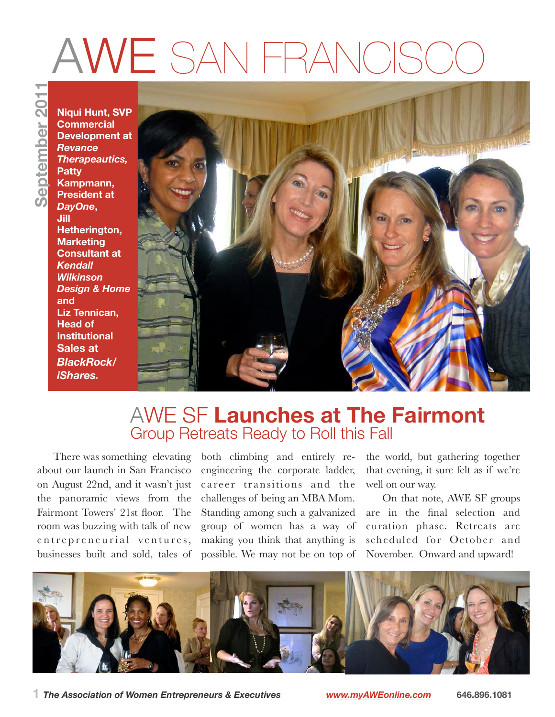# AWE SAN FRANCISC

**September 2011**eptember 201

**Niqui Hunt, SVP Commercial Development at** *Revance Therapeautics,*  **Patty Kampmann, President at**  *DayOne***, Jill Hetherington, Marketing Consultant at**  *Kendall Wilkinson Design & Home* **and Liz Tennican, Head of Institutional Sales at**  *BlackRock/ iShares.*



### AWE SF **Launches at The Fairmont**  Group Retreats Ready to Roll this Fall

about our launch in San Francisco on August 22nd, and it wasn't just the panoramic views from the Fairmont Towers' 21st floor. The room was buzzing with talk of new entrepreneurial ventures, businesses built and sold, tales of

There was something elevating both climbing and entirely reengineering the corporate ladder, career transitions and the challenges of being an MBA Mom. Standing among such a galvanized group of women has a way of making you think that anything is possible. We may not be on top of

the world, but gathering together that evening, it sure felt as if we're well on our way.

On that note, AWE SF groups are in the final selection and curation phase. Retreats are scheduled for October and November. Onward and upward!



**1** *The Association of Women Entrepreneurs & Executives [www.myAWEonline.com](http://www.myAWEonline.com)* **646.896.1081**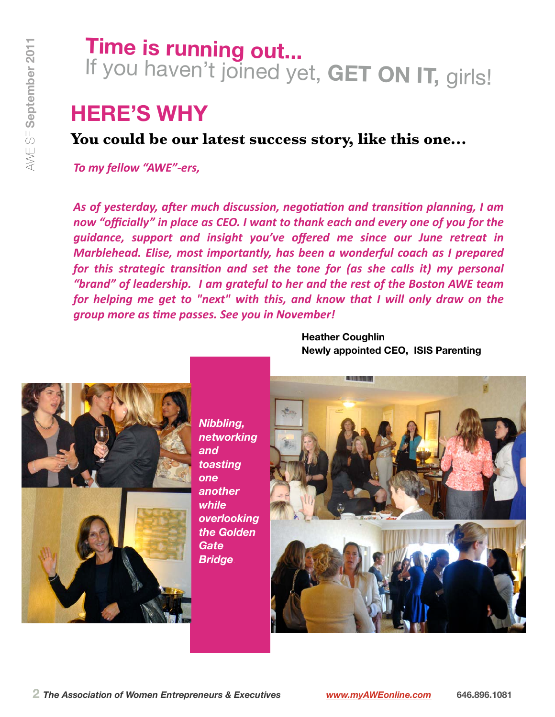## **Time is running out...** If you haven't joined yet, **GET ON IT,** girls!

## **HERE'S WHY**

### **You could be our latest success story, like this one...**

**To my fellow "AWE"-ers,** 

As of yesterday, after much discussion, negotiation and transition planning, I am now "officially" in place as CEO. I want to thank each and every one of you for the *guidance, support and insight you've offered me since our June retreat in Marblehead. Elise, most importantly, has been a wonderful coach as I prepared for this strategic transition and set the tone for (as she calls it) my personal* "brand" of leadership. I am grateful to her and the rest of the Boston AWE team *for helping me get to "next" with this, and know that I will only draw on the group#more#as#=me#passes.#See#you#in#November!*



*Nibbling, networking and toasting one another while overlooking the Golden Gate Bridge.*

**Heather Coughlin Newly appointed CEO, ISIS Parenting** 

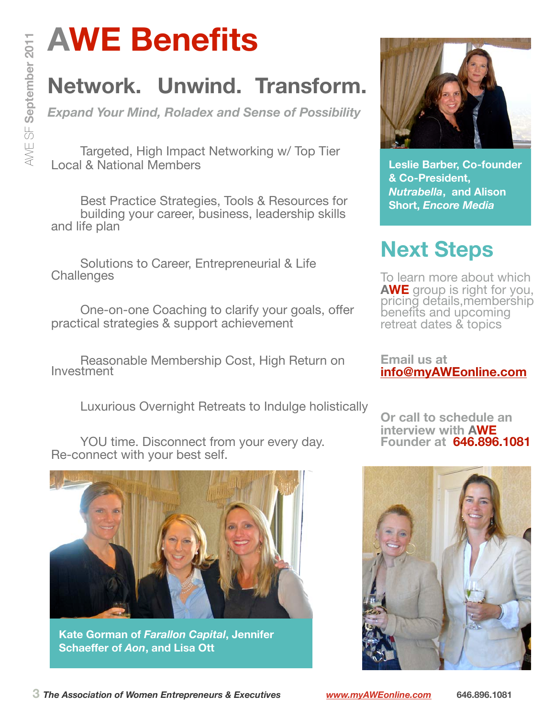## **AWE Benefits**

## **Network. Unwind. Transform.**

*Expand Your Mind, Roladex and Sense of Possibility*

Targeted, High Impact Networking w/ Top Tier Local & National Members

Best Practice Strategies, Tools & Resources for building your career, business, leadership skills and life plan

Solutions to Career, Entrepreneurial & Life **Challenges** 

One-on-one Coaching to clarify your goals, offer practical strategies & support achievement

Reasonable Membership Cost, High Return on Investment

Luxurious Overnight Retreats to Indulge holistically

YOU time. Disconnect from your every day. Re-connect with your best self.



**Kate Gorman of** *Farallon Capital***, Jennifer Schaeffer of** *Aon***, and Lisa Ott**



**Leslie Barber, Co-founder & Co-President,**  *Nutrabella***, and Alison Short,** *Encore Media* 

## **Next Steps**

To learn more about which **AWE** group is right for you, pricing details,membership benefits and upcoming retreat dates & topics

**Email us at [info@myAWEonline.com](mailto:info@myAWEonline.com)**

**Or call to schedule an interview with AWE Founder at 646.896.1081**